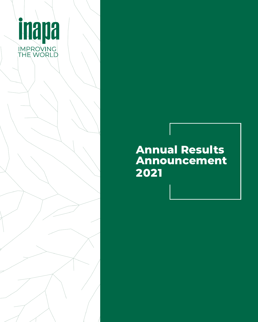

## **Annual Results Announcement 2021**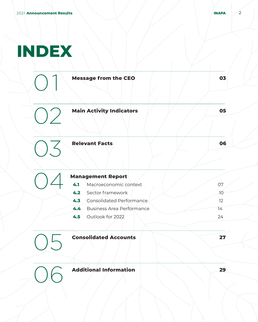# **INDEX**

| <b>Message from the CEO</b>             | 03 |
|-----------------------------------------|----|
| <b>Main Activity Indicators</b>         | 05 |
| <b>Relevant Facts</b>                   | 06 |
| <b>Management Report</b>                |    |
| 4.1<br>Macroeconomic context            | 07 |
| Sector framework<br>4.2                 | 10 |
| Consolidated Performance<br>4.3         | 12 |
| 4.4<br><b>Business Area Performance</b> | 14 |
| 4.5<br>Outlook for 2022                 | 24 |
| <b>Consolidated Accounts</b>            | 27 |
| <b>Additional Information</b>           | 29 |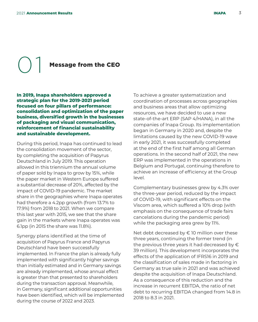**Message from the CEO** 

**In 2019, Inapa shareholders approved a strategic plan for the 2019-2021 period focused on four pillars of performance: consolidation and optimization of the paper business, diversified growth in the businesses of packaging and visual communication, reinforcement of financial sustainability and sustainable development.**

During this period, Inapa has continued to lead the consolidation movement of the sector, by completing the acquisition of Papyrus Deutschland in July 2019. This operation allowed in this triennium the annual volume of paper sold by Inapa to grow by 15%, while the paper market in Western Europe suffered a substantial decrease of 20%, affected by the impact of COVID-19 pandemic. The market share in the geographies where Inapa operates had therefore a 4.2pp growth (from 13.7% to 17.9%) from 2018 to 2021. When we compare this last year with 2015, we see that the share gain in the markets where Inapa operates was 6.1pp (in 2015 the share was 11.8%).

Synergy plans identified at the time of acquisition of Papyrus France and Papyrus Deutschland have been successfully implemented. In France the plan is already fully implemented with significantly higher savings than initially estimated and in Germany savings are already implemented, whose annual effect is greater than that presented to shareholders during the transaction approval. Meanwhile, in Germany, significant additional opportunities have been identified, which will be implemented during the course of 2022 and 2023.

To achieve a greater systematization and coordination of processes across geographies and business areas that allow optimizing resources, we have decided to use a new state-of-the-art ERP (SAP 4/HANA), in all the companies of Inapa Group. Its implementation began in Germany in 2020 and, despite the limitations caused by the new COVID-19 wave in early 2021, it was successfully completed at the end of the first half among all German operations. In the second half of 2021, the new ERP was implemented in the operations in Belgium and Portugal, continuing therefore to achieve an increase of efficiency at the Group level.

Complementary businesses grew by 4.3% over the three-year period, reduced by the impact of COVID-19, with significant effects on the Viscom area, which suffered a 10% drop (with emphasis on the consequence of trade fairs cancelations during the pandemic period) while the packaging area grew by 11%.

Net debt decreased by  $\in$  10 million over these three years, continuing the former trend (in the previous three years it had decreased by  $\epsilon$ 39 million). This development incorporates the effects of the application of IFRS16 in 2019 and the classification of sales made in factoring in Germany as true sale in 2021 and was achieved despite the acquisition of Inapa Deutschland. As a consequence of this reduction and the increase in recurrent EBITDA, the ratio of net debt to recurring EBITDA changed from 14.8 in 2018 to 8.3 in 2021.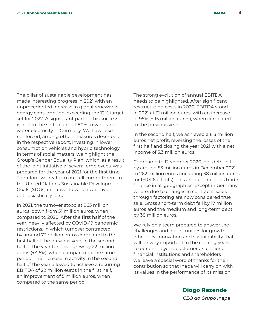The pillar of sustainable development has made interesting progress in 2021 with an unprecedented increase in global renewable energy consumption, exceeding the 12% target set for 2022. A significant part of this success is due to the shift of about 80% to wind and water electricity in Germany. We have also reinforced, among other measures described in the respective report, investing in lower consumption vehicles and hybrid technology. In terms of social matters, we highlight the Group's Gender Equality Plan, which, as a result of the joint initiative of several employees, was prepared for the year of 2021 for the first time. Therefore, we reaffirm our full commitment to the United Nations Sustainable Development Goals (SDGs) initiative, to which we have enthusiastically joined.

In 2021, the turnover stood at 965 million euros, down from 51 million euros, when compared to 2020. After the first half of the year, heavily affected by COVID-19 pandemic restrictions, in which turnover contracted by around 73 million euros compared to the first half of the previous year, in the second half of the year turnover grew by 22 million euros (+4.5%), when compared to the same period. The increase in activity in the second half of the year allowed to achieve a recurring EBITDA of 22 million euros in the first half, an improvement of 5 million euros, when compared to the same period.

The strong evolution of annual EBITDA needs to be highlighted. After significant restructuring costs in 2020, EBITDA stood in 2021 at 31 million euros, with an increase of 95% (+ 15 million euros), when compared to the previous year.

In the second half, we achieved a 6.3 million euros net profit, reversing the losses of the first half and closing the year 2021 with a net income of 3.3 million euros.

Compared to December 2020, net debt fell by around 53 million euros in December 2021 to 262 million euros (including 38 million euros for IFRS16 effects). This amount includes trade finance in all geographies, except in Germany where, due to changes in contracts, sales through factoring are now considered true sale. Gross short-term debt fell by 17 million euros and the medium and long-term debt by 38 million euros.

We rely on a team prepared to answer the challenges and opportunities for growth, efficiency, innovation and sustainability that will be very important in the coming years. To our employees, customers, suppliers, financial institutions and shareholders we leave a special word of thanks for their contribution so that Inapa will carry on with its values in the performance of its mission.

> **Diogo Rezende** CEO do Grupo Inapa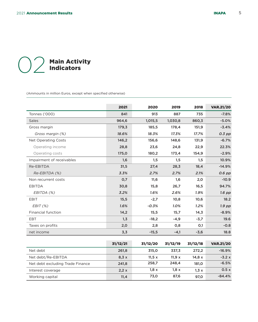## (CO2 Main Activity<br>Indicators Indicators

Interest coverage Working capital

(Ammounts in million Euros, except when specified otherwise)

|                                  | 2021     | 2020     | 2019     | 2018     | <b>VAR.21/20</b> |
|----------------------------------|----------|----------|----------|----------|------------------|
| Tonnes ('000)                    | 841      | 913      | 887      | 735      | $-7.8%$          |
| <b>Sales</b>                     | 964,6    | 1,015,5  | 1,030,8  | 860,3    | $-5.0%$          |
| Gross margin                     | 179,3    | 185,5    | 178,4    | 151,9    | $-3.4%$          |
| Gross margin (%)                 | 18.6%    | 18.3%    | 17.3%    | 17.7%    | $0.3$ pp         |
| Net Operating Costs              | 146,2    | 156,6    | 148,6    | 131,9    | $-6.7%$          |
| Operating income                 | 28,8     | 23,6     | 24,8     | 22,9     | 22.3%            |
| Operating costs                  | 175,0    | 180,2    | 173,4    | 154,9    | $-2.9%$          |
| Impairment of receivables        | 1,6      | 1,5      | 1,5      | 1,5      | 10.9%            |
| Re-EBITDA                        | 31,5     | 27,4     | 28,3     | 18,4     | $-14.9%$         |
| Re-EBITDA (%)                    | 3.3%     | 2.7%     | 2.7%     | 2.1%     | 0.6 pp           |
| Non recurrent costs              | 0,7      | 11,6     | 1,6      | 2,0      | $-10.9$          |
| <b>EBITDA</b>                    | 30,8     | 15,8     | 26,7     | 16,5     | 94.7%            |
| EBITDA (%)                       | 3.2%     | 1.6%     | 2.6%     | 1.9%     | $1.6$ pp         |
| <b>EBIT</b>                      | 15,5     | $-2,7$   | 10,8     | 10,6     | 18.2             |
| EBIT(%)                          | 1.6%     | $-0.3%$  | 1.0%     | 1.2%     | $1.9$ pp         |
| <b>Financial function</b>        | 14,2     | 15,5     | 15,7     | 14,3     | $-8.9%$          |
| <b>EBT</b>                       | 1, 3     | $-18,2$  | $-4,9$   | $-3,7$   | 19.6             |
| Taxes on profits                 | 2,0      | 2,8      | 0,8      | O,1      | $-0.8$           |
| net income                       | 3,3      | $-15,5$  | $-4,1$   | $-3,6$   | 18.8             |
|                                  |          |          |          |          |                  |
|                                  | 31/12/21 | 31/12/20 | 31/12/19 | 31/12/18 | <b>VAR.21/20</b> |
| Net debt                         | 261,8    | 315,0    | 337,3    | 272,2    | $-16.9%$         |
| Net debt/Re-EBITDA               | 8,3x     | 11,5x    | 11,9x    | 14,8x    | $-3.2x$          |
| Net debt excluding Trade Finance | 241,8    | 258,7    | 248,4    | 181,0    | $-6.5%$          |

2,2 x 11,4

 $1,8 \times$ 73,0  $1,8 \times$ 87,6

 $1,3 \times$ 97,0

 $0.5 x$ -84.4%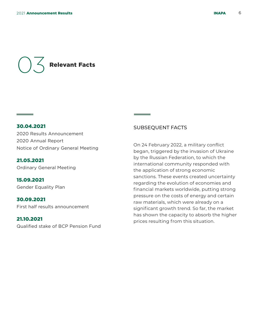## 03 Relevant Facts

30.04.2021 2020 Results Announcement 2020 Annual Report Notice of Ordinary General Meeting

#### 21.05.2021 Ordinary General Meeting

15.09.2021 Gender Equality Plan

30.09.2021 First half results announcement

#### 21.10.2021

**Contract Contract Contract** 

Qualified stake of BCP Pension Fund

#### SUBSEQUENT FACTS

On 24 February 2022, a military conflict began, triggered by the invasion of Ukraine by the Russian Federation, to which the international community responded with the application of strong economic sanctions. These events created uncertainty regarding the evolution of economies and financial markets worldwide, putting strong pressure on the costs of energy and certain raw materials, which were already on a significant growth trend. So far, the market has shown the capacity to absorb the higher prices resulting from this situation.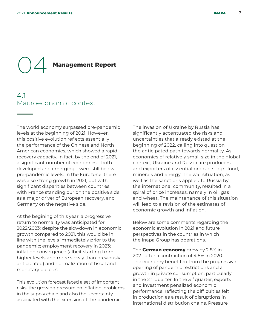# **Management Report**

#### 4.1 Macroeconomic context

The world economy surpassed pre-pandemic levels at the beginning of 2021. However, this positive evolution reflects essentially the performance of the Chinese and North American economies, which showed a rapid recovery capacity. In fact, by the end of 2021, a significant number of economies – both developed and emerging – were still below pre-pandemic levels. In the Eurozone, there was also strong growth in 2021, but with significant disparities between countries, with France standing our on the positive side, as a major driver of European recovery, and Germany on the negative side.

At the begining of this year, a progressive return to normality was anticipated for 2022/2023: despite the slowdown in economic growth compared to 2021, this would be in line with the levels immediately prior to the pandemic; employment recovery in 2023; inflation convergence (albeit starting from higher levels and more slowly than previously anticipated) and normalization of fiscal and monetary policies.

This evolution forecast faced a set of important risks: the growing pressure on inflation, problems in the supply chain and also the uncertainty associated with the extension of the pandemic.

The invasion of Ukraine by Russia has significantly accentuated the risks and uncertainties that already existed at the beginning of 2022, calling into question the anticipated path towards normality. As economies of relatively small size in the global context, Ukraine and Russia are producers and exporters of essential products, agri-food, minerals and energy. The war situation, as well as the sanctions applied to Russia by the international community, resulted in a spiral of price increases, namely in oil, gas and wheat. The maintenance of this situation will lead to a revision of the estimates of economic growth and inflation.

Below are some comments regarding the economic evolution in 2021 and future perspectives in the countries in which the Inapa Group has operations.

The **German economy** grew by 2.8% in 2021, after a contraction of 4.8% in 2020. The economy benefited from the progressive opening of pandemic restrictions and a growth in private consumption, particularly in the  $2^{nd}$  quarter. In the  $3^{rd}$  quarter, exports and investment penalized economic performance, reflecting the difficulties felt in production as a result of disruptions in international distribution chains. Pressure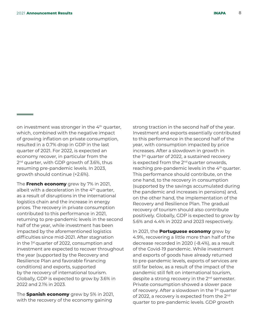on investment was stronger in the 4th quarter, which, combined with the negative impact of growing inflation on private consumption, resulted in a 0.7% drop in GDP in the last quarter of 2021. For 2022, is expected an economy recover, in particular from the 2<sup>nd</sup> quarter, with GDP growth of 3.6%, thus resuming pre-pandemic levels. In 2023, growth should continue (+2.6%).

The **French economy** grew by 7% in 2021, albeit with a deceleration in the 4<sup>th</sup> quarter, as a result of disruptions in the international logistics chain and the increase in energy prices. The recovery in private consumption contributed to this performance in 2021, returning to pre-pandemic levels in the second half of the year, while investment has been impacted by the aforementioned logistics difficulties since mid-2021. After stagnation in the 1<sup>st</sup> quarter of 2022, consumption and investment are expected to recover throughout the year (supported by the Recovery and Resilience Plan and favorable financing conditions) and exports, supported by the recovery of international tourism. Globally, GDP is expected to grow by 3.6% in 2022 and 2.1% in 2023.

The **Spanish economy** grew by 5% in 2021, with the recovery of the economy gaining

strong traction in the second half of the year. Investment and exports essentially contributed to this performance in the second half of the year, with consumption impacted by price increases. After a slowdown in growth in the 1<sup>st</sup> quarter of 2022, a sustained recovery is expected from the  $2<sup>nd</sup>$  quarter onwards, reaching pre-pandemic levels in the 4<sup>th</sup> quarter. This performance should contribute, on the one hand, to the recovery in consumption (supported by the savings accumulated during the pandemic and increases in pensions) and, on the other hand, the implementation of the Recovery and Resilience Plan. The gradual recovery of tourism should also contribute positively. Globally, GDP is expected to grow by 5.6% and 4.4% in 2022 and 2023 respectively.

In 2021, the **Portuguese economy** grew by 4.9%, recovering a little more than half of the decrease recorded in 2020 (-8.4%), as a result of the Covid-19 pandemic. While investment and exports of goods have already returned to pre-pandemic levels, exports of services are still far below, as a result of the impact of the pandemic still felt on international tourism, despite a strong recovery in the 2<sup>nd</sup> semester. Private consumption showed a slower pace of recovery. After a slowdown in the 1<sup>st</sup> quarter of 2022, a recovery is expected from the 2<sup>nd</sup> quarter to pre-pandemic levels. GDP growth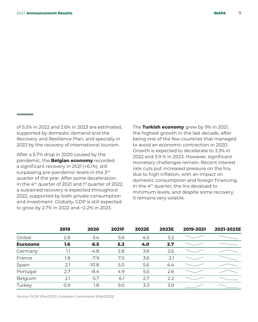<u> Tanzania (</u>

of 5.5% in 2022 and 2.6% in 2023 are estimated, supported by domestic demand and the Recovery and Resilience Plan, and specially in 2022 by the recovery of international tourism.

After a 5.7% drop in 2020 caused by the pandemic, the **Belgian economy** recorded a significant recovery in 2021 (+6.1%), still surpassing pre-pandemic levels in the 3rd quarter of the year. After some deceleration in the  $4<sup>th</sup>$  quarter of 2021 and  $1<sup>st</sup>$  quarter of 2022, a sustained recovery is expected throughout 2022, supported by both private consumption and investment. Globally, GDP is still expected to grow by 2.7% in 2022 and +2.2% in 2023.

The **Turkish economy** grew by 9% in 2021, the highest growth in the last decade, after being one of the few countries that managed to avoid an economic contraction in 2020. Growth is expected to decelerate to 3.3% in 2022 and 3.9 % in 2023. However, significant monetary challenges remain. Recent interest rate cuts put increased pressure on the lira, due to high inflation, with an impact on domestic consumption and foreign financing. In the  $4<sup>th</sup>$  quarter, the lira devalued to minimum levels, and despite some recovery, it remains very volatile.

|                 | 2019 | 2020    | <b>2021F</b> | <b>2022E</b> | <b>2023E</b> | 2019-2021 | 2021-2023E |
|-----------------|------|---------|--------------|--------------|--------------|-----------|------------|
| Global          | 2.8  | $-3.4$  | 5.6          | 4.5          | 3.2          |           |            |
| <b>Eurozone</b> | 1.6  | $-6.5$  | 5.3          | 4.0          | 2.7          |           |            |
| Germany         | 1.1  | $-4.8$  | 2.8          | 3.6          | 2.6          |           |            |
| France          | 1.8  | $-7.9$  | 7.0          | 3.6          | 2.1          |           |            |
| Spain           | 2.1  | $-10.8$ | 5.0          | 5.6          | 4.4          |           |            |
| Portugal        | 2.7  | $-8.4$  | 4.9          | 5.5          | 2.6          |           |            |
| Belgium         | 2.1  | $-5.7$  | 6.1          | 2.7          | 2.2          |           |            |
| Turkey          | 0.9  | 1.8     | 9.0          | 3.3          | 3.9          |           |            |

Source: OCDE (Dec/2021), European Commission (Feb/2022)]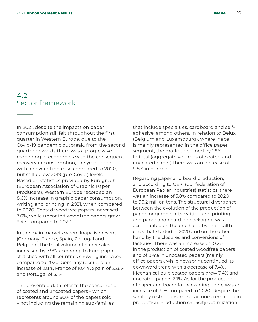### 4.2 Sector framework

In 2021, despite the impacts on paper consumption still felt throughout the first quarter in Western Europe, due to the Covid-19 pandemic outbreak, from the second quarter onwards there was a progressive reopening of economies with the consequent recovery in consumption, the year ended with an overall increase compared to 2020, but still below 2019 (pre-Covid) levels. Based on statistics provided by Eurograph (European Association of Graphic Paper Producers), Western Europe recorded an 8.6% increase in graphic paper consumption, writing and printing in 2021, when compared to 2020. Coated woodfree papers increased 7.6%, while uncoated woodfree papers grew 9.4% compared to 2020.

In the main markets where Inapa is present (Germany, France, Spain, Portugal and Belgium), the total volume of paper sales increased by 7.9%, according to Eurograph statistics, with all countries showing increases compared to 2020. Germany recorded an increase of 2.8%, France of 10.4%, Spain of 25.8% and Portugal of 5.1%.

The presented data refer to the consumption of coated and uncoated papers – which represents around 90% of the papers sold – not including the remaining sub-families

that include specialties, cardboard and selfadhesive, among others. In relation to Belux (Belgium and Luxembourg), where Inapa is mainly represented in the office paper segment, the market declined by 1.5%. In total (aggregate volumes of coated and uncoated paper) there was an increase of 9.8% in Europe.

Regarding paper and board production, and according to CEPI (Confederation of European Papier Industries) statistics, there was an increase of 5.8% compared to 2020 to 90.2 million tons. The structural divergence between the evolution of the production of paper for graphic arts, writing and printing and paper and board for packaging was accentuated on the one hand by the health crisis that started in 2020 and on the other hand by the closures and conversions of factories. There was an increase of 10.2% in the production of coated woodfree papers and of 8.4% in uncoated papers (mainly office papers), while newsprint continued its downward trend with a decrease of 7.4%. Mechanical pulp coated papers grew 7.4% and uncoated papers 6.1%. As for the production of paper and board for packaging, there was an increase of 7.1% compared to 2020. Despite the sanitary restrictions, most factories remained in production. Production capacity optimization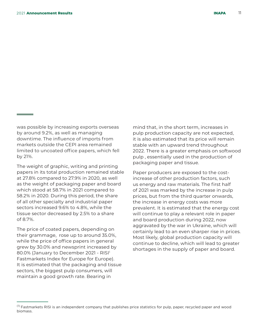<u> Tanzania (</u>

was possible by increasing exports overseas by around 9.2%, as well as managing downtime. The influence of imports from markets outside the CEPI area remained limited to uncoated office papers, which fell by 21%.

The weight of graphic, writing and printing papers in its total production remained stable at 27.8% compared to 27.9% in 2020, as well as the weight of packaging paper and board which stood at 58.7% in 2021 compared to 58.2% in 2020. During this period, the share of all other specialty and industrial paper sectors increased 9.6% to 4.8%, while the tissue sector decreased by 2.5% to a share of 8.7%.

The price of coated papers, depending on their grammage, rose up to around 35.0%, while the price of office papers in general grew by 30.0% and newsprint increased by 80.0% (January to December 2021 - RISI<sup>1</sup> Fastmarkets Index for Europe for Europe). It is estimated that the packaging and tissue sectors, the biggest pulp consumers, will maintain a good growth rate. Bearing in

mind that, in the short term, increases in pulp production capacity are not expected, it is also estimated that its price will remain stable with an upward trend throughout 2022. There is a greater emphasis on softwood pulp , essentially used in the production of packaging paper and tissue.

Paper producers are exposed to the costincrease of other production factors, such us energy and raw materials. The first half of 2021 was marked by the increase in pulp prices, but from the third quarter onwards, the increase in energy costs was more prevalent. It is estimated that the energy cost will continue to play a relevant role in paper and board production during 2022, now aggravated by the war in Ukraine, which will certainly lead to an even sharper rise in prices. Most likely, global production capacity will continue to decline, which will lead to greater shortages in the supply of paper and board.

 $<sup>(1)</sup>$  Fastmarkets RISI is an independent company that publishes price statistics for pulp, paper, recycled paper and wood</sup> biomass.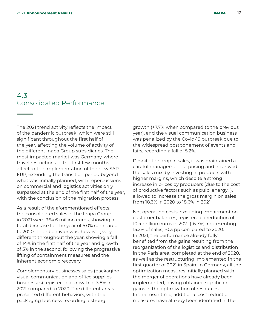### 4.3 Consolidated Performance

The 2021 trend activity reflects the impact of the pandemic outbreak, which were still significant throughout the first half of the year, affecting the volume of activity of the different Inapa Group subsidiaries. The most impacted market was Germany, where travel restrictions in the first few months affected the implementation of the new SAP ERP, extending the transition period beyond what was initially planned, with repercussions on commercial and logistics activities only surpassed at the end of the first half of the year, with the conclusion of the migration process.

As a result of the aforementioned effects, the consolidated sales of the Inapa Group in 2021 were 964.6 million euros, showing a total decrease for the year of 5.0% compared to 2020. Their behavior was, however, very different throughout the year, showing a fall of 14% in the first half of the year and growth of 5% in the second, following the progressive lifting of containment measures and the inherent economic recovery.

Complementary businesses sales (packaging, visual communication and office supplies businesses) registered a growth of 3.8% in 2021 compared to 2020. The different areas presented different behaviors, with the packaging business recording a strong

growth (+7.7% when compared to the previous year), and the visual communication business was penalized by the Covid-19 outbreak due to the widespread postponement of events and fairs, recording a fall of 5.2%.

Despite the drop in sales, it was maintained a careful management of pricing and improved the sales mix, by investing in products with higher margins, which despite a strong increase in prices by producers (due to the cost of productive factors such as pulp, energy…), allowed to increase the gross margin on sales from 18.3% in 2020 to 18.6% in 2021.

Net operating costs, excluding impairment on customer balances, registered a reduction of 10.4 million euros in 2021 (-6.7%), representing 15.2% of sales, -0.3 pp compared to 2020. In 2021, the performance already fully benefited from the gains resulting from the reorganization of the logistics and distribution in the Paris area, completed at the end of 2020, as well as the restructuring implemented in the first quarter of 2021 in Spain. In Germany, all the optimization measures initially planned with the merger of operations have already been implemented, having obtained significant gains in the optimization of resources. In the meantime, additional cost reduction measures have already been identified in the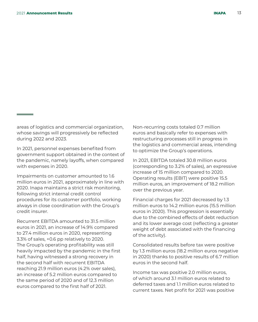areas of logistics and commercial organization, whose savings will progressively be reflected during 2022 and 2023.

In 2021, personnel expenses benefited from government support obtained in the context of the pandemic, namely layoffs, when compared with expenses in 2020.

Impairments on customer amounted to 1.6 million euros in 2021, approximately in line with 2020. Inapa maintains a strict risk monitoring, following strict internal credit control procedures for its customer portfolio, working always in close coordination with the Group's credit insurer.

Recurrent EBITDA amounted to 31.5 million euros in 2021, an increase of 14.9% compared to 27.4 million euros in 2020, representing 3.3% of sales, +0.6 pp relatively to 2020. The Group's operating profitability was still heavily impacted by the pandemic in the first half, having witnessed a strong recovery in the second half with recurrent EBITDA reaching 21.9 million euros (4.2% over sales), an increase of 5.2 million euros compared to the same period of 2020 and of 12.3 million euros compared to the first half of 2021.

Non-recurring costs totaled 0.7 million euros and basically refer to expenses with restructuring processes still in progress in the logistics and commercial areas, intending to optimize the Group's operations.

In 2021, EBITDA totaled 30.8 million euros (corresponding to 3.2% of sales), an expressive increase of 15 million compared to 2020. Operating results (EBIT) were positive 15.5 million euros, an improvement of 18.2 million over the previous year.

Financial charges for 2021 decreased by 1.3 million euros to 14.2 million euros (15.5 million euros in 2020). This progression is essentially due to the combined effects of debt reduction and its lower average cost (reflecting a greater weight of debt associated with the financing of the activity).

Consolidated results before tax were positive by 1.3 million euros (18.2 million euros negative in 2020) thanks to positive results of 6.7 million euros in the second half.

Income tax was positive 2.0 million euros, of which around 3.1 million euros related to deferred taxes and 1.1 million euros related to current taxes. Net profit for 2021 was positive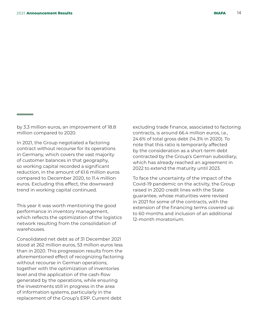by 3.3 million euros, an improvement of 18.8 million compared to 2020.

In 2021, the Group negotiated a factoring contract without recourse for its operations in Germany, which covers the vast majority of customer balances in that geography, so working capital recorded a significant reduction, in the amount of 61.6 million euros compared to December 2020, to 11.4 million euros. Excluding this effect, the downward trend in working capital continued.

This year it was worth mentioning the good performance in inventory management, which reflects the optimization of the logistics network resulting from the consolidation of warehouses.

Consolidated net debt as of 31 December 2021 stood at 262 million euros, 53 million euros less than in 2020. This progression results from the aforementioned effect of recognizing factoring without recourse in German operations, together with the optimization of inventories level and the application of the cash-flow generated by the operations, while ensuring the investments still in progress in the area of information systems, particularly in the replacement of the Group's ERP. Current debt

excluding trade finance, associated to factoring contracts, is around 66.4 million euros, i.e., 24.6% of total gross debt (14.3% in 2020). To note that this ratio is temporarily affected by the consideration as a short-term debt contracted by the Group's German subsidiary, which has already reached an agreement in 2022 to extend the maturity until 2023.

To face the uncertainty of the impact of the Covid-19 pandemic on the activity, the Group raised in 2020 credit lines with the State guarantee, whose maturities were revised in 2021 for some of the contracts, with the extension of the financing terms covered up to 60 months and inclusion of an additional 12-month moratorium.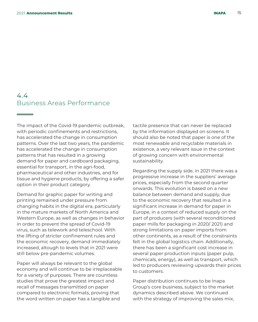### 4.4 Business Areas Performance

The impact of the Covid-19 pandemic outbreak, with periodic confinements and restrictions, has accelerated the change in consumption patterns. Over the last two years, the pandemic has accelerated the change in consumption patterns that has resulted in a growing demand for paper and cardboard packaging, essential for transport, in the agri-food, pharmaceutical and other industries, and for tissue and hygiene products, by offering a safer option in their product category.

Demand for graphic paper for writing and printing remained under pressure from changing habits in the digital era, particularly in the mature markets of North America and Western Europe, as well as changes in behavior in order to prevent the spread of Covid-19 virus, such as telework and teleschool. With the lifting of stricter confinement rules and the economic recovery, demand immediately increased, altough to levels that in 2021 were still below pre-pandemic volumes.

Paper will always be relevant to the global economy and will continue to be irreplaceable for a variety of purposes. There are countless studies that prove the greatest impact and recall of messages transmitted on paper compared to electronic formats, proving that the word written on paper has a tangible and

tactile presence that can never be replaced by the information displayed on screens. It should also be noted that paper is one of the most renewable and recyclable materials in existence, a very relevant issue in the context of growing concern with environmental sustainability.

Regarding the supply side, in 2021 there was a progressive increase in the suppliers' average prices, especially from the second quarter onwards. This evolution is based on a new balance between demand and supply, due to the economic recovery that resulted in a significant increase in demand for paper in Europe, in a context of reduced supply on the part of producers (with several reconditioned paper mills for packaging in 2020/ 2021) and strong limitations on paper imports from other continents, as a result of the constraints felt in the global logistics chain. Additionally, there has been a significant cost increase in several paper production inputs (paper pulp, chemicals, energy), as well as transport, which led to producers reviewing upwards their prices to customers.

Paper distribution continues to be Inapa Group's core business, subject to the market dynamics described above. We continued with the strategy of improving the sales mix,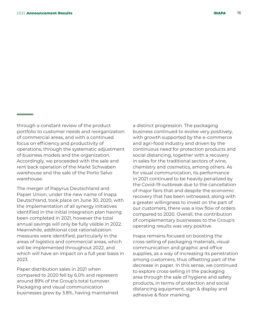through a constant review of the product portfolio to customer needs and reorganization of commercial areas, and with a continued focus on efficiency and productivity of operations, through the systematic adjustment of business models and the organization. Accordingly, we proceeded with the sale and rent back operation of the Markt Schwaben warehouse and the sale of the Porto Salvo warehouse.

The merger of Papyrus Deutschland and Papier Union, under the new name of Inapa Deutschland, took place on June 30, 2020, with the implementation of all synergy initiatives identified in the initial integration plan having been completed in 2021, however the total annual savings will only be fully visible in 2022. Meanwhile, additional cost rationalization measures were identified, particularly in the areas of logistics and commercial areas, which will be implemented throughout 2022, and which will have an impact on a full year basis in 2023.

Paper distribution sales in 2021 when compared to 2020 fell by 6.0% and represent around 89% of the Group's total turnover. Packaging and visual communication businesses grew by 3.8%, having maintained a distinct progression. The packaging business continued to evolve very positively, with growth supported by the e-commerce and agri-food industry and driven by the continuous need for protection products and social distancing, together with a recovery in sales for the traditional sectors of wine, chemistry and cosmetics, among others. As for visual communication, its performance in 2021 continued to be heavily penalized by the Covid-19 outbreak due to the cancellation of major fairs that and despite the economic recovery that has been witnessed, along with a greater willingness to invest on the part of our customers, there was a low flow of orders compared to 2020. Overall, the contribution of complementary businesses to the Group's operating results was very positive.

Inapa remains focused on boosting the cross-selling of packaging materials, visual communication and graphic and office supplies, as a way of increasing its penetration among customers, thus offsetting part of the decrease in paper. In this sense, we continued to explore cross-selling in the packaging area through the sale of hygiene and safety products, in terms of protection and social distancing equipment, sign & display and adhesive & floor marking.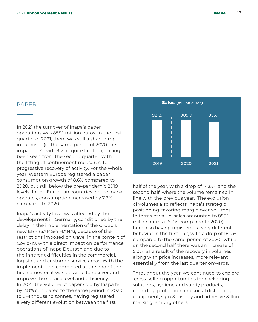In 2021 the turnover of Inapa's paper operations was 855.1 million euros. In the first quarter of 2021, there was still a sharp drop in turnover (in the same period of 2020 the impact of Covid-19 was quite limited), having been seen from the second quarter, with the lifting of confinement measures, to a progressive recovery of activity. For the whole year, Western Europe registered a paper consumption growth of 8.6% compared to 2020, but still below the pre-pandemic 2019 levels. In the European countries where Inapa operates, consumption increased by 7.9% compared to 2020.

Inapa's activity level was affected by the development in Germany, conditioned by the delay in the implementation of the Group's new ERP (SAP S/4 HANA), because of the restrictions imposed on travel in the context of Covid-19, with a direct impact on performance operations of Inapa Deutschland due to the inherent difficulties in the commercial, logistics and customer service areas. With the implementation completed at the end of the first semester, it was possible to recover and improve the service level and efficiency. In 2021, the volume of paper sold by Inapa fell by 7.8% compared to the same period in 2020, to 841 thousand tonnes, having registered a very different evolution between the first



half of the year, with a drop of 14.6%, and the second half, where the volume remained in line with the previous year. The evolution of volumes also reflects Inapa's strategic positioning, favoring margin over volumes. In terms of value, sales amounted to 855.1 million euros (-6.0% compared to 2020), here also having registered a very different behavior in the first half, with a drop of 16.0% compared to the same period of 2020 , while on the second half there was an increase of 5.0%, as a result of the recovery in volumes along with price increases, more relevant essentially from the last quarter onwards.

Throughout the year, we continued to explore cross-selling opportunities for packaging solutions, hygiene and safety products, regarding protection and social distancing equipment, sign & display and adhesive & floor marking, among others.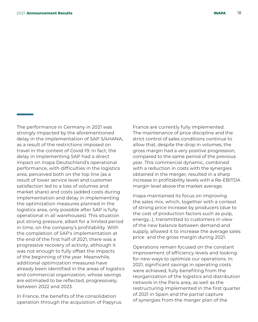The performance in Germany in 2021 was strongly impacted by the aforementioned delay in the implementation of SAP S/4HANA, as a result of the restrictions imposed on travel in the context of Covid-19. In fact, the delay in implementing SAP had a direct impact on Inapa Deutschland's operational performance, with difficulties in the logistics area, perceived both on the top line (as a result of lower service level and customer satisfaction led to a loss of volumes and market share) and costs (added costs during implementation and delay in implementing the optimization measures planned in the logistics area, only possible after SAP is fully operational in all warehouses). This situation put strong pressure, albeit for a limited period in time, on the company's profitability. With the completion of SAP's implementation at the end of the first half of 2021, there was a progressive recovery of activity, although it was not enough to fully offset the impacts of the beginning of the year. Meanwhile, additional optimization measures have already been identified in the areas of logistics and commercial organization, whose savings are estimated to be reflected, progressively, between 2022 and 2023.

In France, the benefits of the consolidation operation through the acquisition of Papyrus France are currently fully implemented. The maintenance of price discipline and the strict control of sales conditions continue to allow that, despite the drop in volumes, the gross margin had a very positive progression, compared to the same period of the previous year. This commercial dynamic, combined with a reduction in costs with the synergies obtained in the merger, resulted in a sharp increase in profitability levels with a Re-EBITDA margin level above the market average.

Inapa maintained its focus on improving the sales mix, which, together with a context of strong price increase by producers (due to the cost of production factors such as pulp, energy…), transmitted to customers in view of the new balance between demand and supply, allowed it to increase the average sales price and the gross margin during 2021.

Operations remain focused on the constant improvement of efficiency levels and looking for new ways to optimize our operations. In 2021, significant savings in operating costs were achieved, fully benefiting from the reorganization of the logistics and distribution network in the Paris area, as well as the restructuring implemented in the first quarter of 2021 in Spain and the partial capture of synergies from the merger plan of the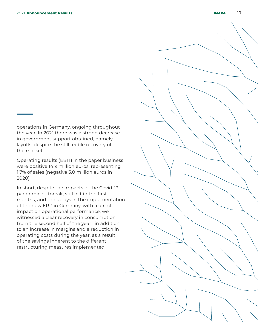operations in Germany, ongoing throughout the year. In 2021 there was a strong decrease in government support obtained, namely layoffs, despite the still feeble recovery of the market.

Operating results (EBIT) in the paper business were positive 14.9 million euros, representing 1.7% of sales (negative 3.0 million euros in 2020).

In short, despite the impacts of the Covid-19 pandemic outbreak, still felt in the first months, and the delays in the implementation of the new ERP in Germany, with a direct impact on operational performance, we witnessed a clear recovery in consumption from the second half of the year , in addition to an increase in margins and a reduction in operating costs during the year, as a result of the savings inherent to the different restructuring measures implemented.

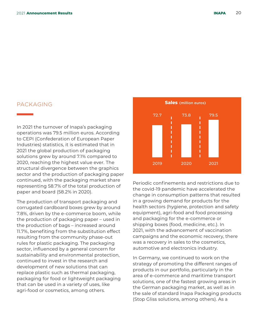#### PACKAGING

In 2021 the turnover of Inapa's packaging operations was 79.5 million euros. According to CEPI (Confederation of European Paper Industries) statistics, it is estimated that in 2021 the global production of packaging solutions grew by around 7.1% compared to 2020, reaching the highest value ever. The structural divergence between the graphics sector and the production of packaging paper continued, with the packaging market share representing 58.7% of the total production of paper and board (58.2% in 2020).

The production of transport packaging and corrugated cardboard boxes grew by around 7.8%, driven by the e-commerce boom, while the production of packaging paper – used in the production of bags – increased around 11.7%, benefiting from the substitution effect resulting from the community phase-out rules for plastic packaging. The packaging sector, influenced by a general concern for sustainability and environmental protection, continued to invest in the research and development of new solutions that can replace plastic such as thermal packaging, packaging for food or lightweight packaging that can be used in a variety of uses, like agri-food or cosmetics, among others.



Periodic confinements and restrictions due to the covid-19 pandemic have accelerated the change in consumption patterns that resulted in a growing demand for products for the health sectors (hygiene, protection and safety equipment), agri-food and food processing and packaging for the e-commerce or shipping boxes (food, medicine, etc.). In 2021, with the advancement of vaccination campaigns and the economic recovery, there was a recovery in sales to the cosmetics, automotive and electronics industry.

In Germany, we continued to work on the strategy of promoting the different ranges of products in our portfolio, particularly in the area of e-commerce and maritime transport solutions, one of the fastest growing areas in the German packaging market, as well as in the sale of standard Inapa Packaging products (Stop Gliss solutions, among others). As a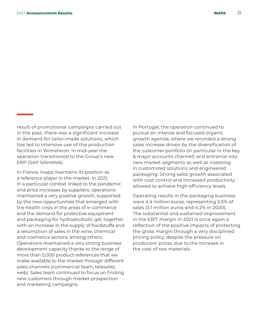result of promotional campaigns carried out in the past, there was a significant increase in demand for tailor-made solutions, which has led to intensive use of the production facilities in Wimsheim. In mid-year the operation transitioned to the Group's new ERP (SAP S/4HANA).

In France, Inapa maintains its position as a reference player in the market. In 2021, in a particular context linked to the pandemic and price increases by suppliers, operations maintained a very positive growth, supported by the new opportunities that emerged with the health crisis in the areas of e-commerce and the demand for protective equipment and packaging for hydroalcoholic gel, together with an increase in the supply of foodstuffs and a resumption of sales in the wine, chemical and cosmetics sectors, among others. Operations maintained a very strong business development capacity thanks to the range of more than 5,000 product references that we make available to the market through different sales channels (commercial team, telesales, web). Sales team continued to focus on finding new customers through market prospection and marketing campaigns.

In Portugal, the operation continued to pursue an intense and focused organic growth agenda, where we recorded a strong sales increase driven by the diversification of the customer portfolio (in particular in the key & major accounts channel) and entrance into new market segments as well as investing in customized solutions and engineered packaging. Strong sales growth associated with cost control and increased productivity allowed to achieve high efficiency levels.

Operating results in the packaging business were 4.4 million euros, representing 5.5% of sales (3.1 million euros and 4.2% in 2020). The substantial and sustained improvement in the EBIT margin in 2021 is once again a reflection of the positive impacts of protecting the gross margin through a very disciplined pricing policy, despite the pressure on producers' prices due to the increase in the cost of raw materials.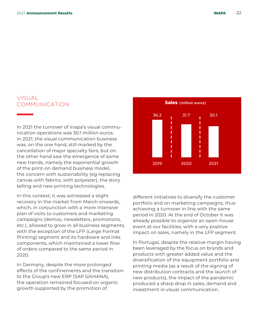### VISUAL COMMUNICATION

In 2021 the turnover of Inapa's visual communication operations was 30.1 million euros. In 2021, the visual communication business was, on the one hand, still marked by the cancellation of major specialty fairs, but on the other hand saw the emergence of some new trends, namely the exponential growth of the print-on demand business model, the concern with sustainability (eg replacing canvas with fabrics, with polyester), the story telling and new printing technologies.

In this context, it was witnessed a slight recovery in the market from March onwards, which, in conjunction with a more intensive plan of visits to customers and marketing campaigns (demos, newsletters, promotions, etc.), allowed to grow in all business segments, with the exception of the LFP (Large Format Printing) segment and its hardware and inks components, which maintained a lower flow of orders compared to the same period in 2020.

In Germany, despite the more prolonged effects of the confinements and the transition to the Group's new ERP (SAP S/4HANA), the operation remained focused on organic growth supported by the promotion of



different initiatives to diversify the customer portfolio and on marketing campaigns, thus achieving a turnover in line with the same period in 2020. At the end of October it was already possible to organize an open-house event at our facilities, with a very positive impact on sales, namely in the LFP segment.

In Portugal, despite the relative margin having been leveraged by the focus on brands and products with greater added value and the diversification of the equipment portfolio and printing media (as a result of the signing of new distribution contracts and the launch of new products), the impact of the pandemic produced a sharp drop in sales, demand and investment in visual communication.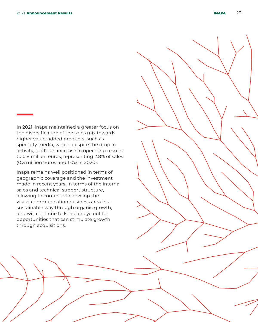In 2021, Inapa maintained a greater focus on the diversification of the sales mix towards higher value-added products, such as specialty media, which, despite the drop in activity, led to an increase in operating results to 0.8 million euros, representing 2.8% of sales (0.3 million euros and 1.0% in 2020).

Inapa remains well positioned in terms of geographic coverage and the investment made in recent years, in terms of the internal sales and technical support structure, allowing to continue to develop the visual communication business area in a sustainable way through organic growth, and will continue to keep an eye out for opportunities that can stimulate growth through acquisitions.

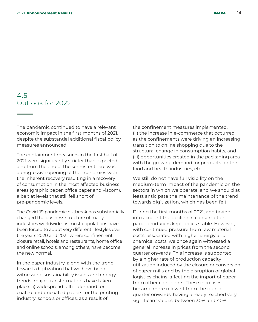### 4.5 Outlook for 2022

The pandemic continued to have a relevant economic impact in the first months of 2021, despite the substantial additional fiscal policy measures announced.

The containment measures in the first half of 2021 were significantly stricter than expected, and from the end of the semester there was a progressive opening of the economies with the inherent recovery resulting in a recovery of consumption in the most affected business areas (graphic paper, office paper and viscom), albeit at levels that still fell short of pre-pandemic levels.

The Covid-19 pandemic outbreak has substantially changed the business structure of many industries worldwide, as most populations have been forced to adopt very different lifestyles over the years 2020 and 2021, where confinement, closure retail, hotels and restaurants, home office and online schools, among others, have become the new normal.

In the paper industry, along with the trend towards digitization that we have been witnessing, sustainability issues and energy trends, major transformations have taken place: (i) widespread fall in demand for coated and uncoated papers for the printing industry, schools or offices, as a result of

the confinement measures implemented, (ii) the increase in e-commerce that occurred as the confinements were driving an increasing transition to online shopping due to the structural change in consumption habits, and (iii) opportunities created in the packaging area with the growing demand for products for the food and health industries, etc.

We still do not have full visibility on the medium-term impact of the pandemic on the sectors in which we operate, and we should at least anticipate the maintenance of the trend towards digitization, which has been felt.

During the first months of 2021, and taking into account the decline in consumption, paper producers kept prices stable. However, with continued pressure from raw material costs, associated with higher energy and chemical costs, we once again witnessed a general increase in prices from the second quarter onwards. This increase is supported by a higher rate of production capacity utilization induced by the closure or conversion of paper mills and by the disruption of global logistics chains, affecting the import of paper from other continents. These increases became more relevant from the fourth quarter onwards, having already reached very significant values, between 30% and 40%.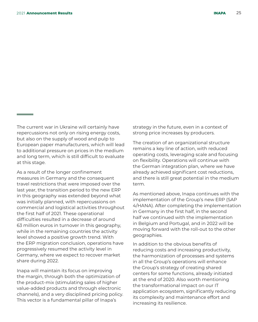<u> Tanzania (</u>

The current war in Ukraine will certainly have repercussions not only on rising energy costs, but also on the supply of wood and pulp to European paper manufacturers, which will lead to additional pressure on prices in the medium and long term, which is still difficult to evaluate at this stage.

As a result of the longer confinement measures in Germany and the consequent travel restrictions that were imposed over the last year, the transition period to the new ERP in this geography was extended beyond what was initially planned, with repercussions on commercial and logistical activities throughout the first half of 2021. These operational difficulties resulted in a decrease of around 63 million euros in turnover in this geography, while in the remaining countries the activity level showed a positive growth trend. With the ERP migration conclusion, operations have progressively resumed the activity level in Germany, where we expect to recover market share during 2022.

Inapa will maintain its focus on improving the margin, through both the optimization of the product-mix (stimulating sales of higher value-added products and through electronic channels), and a very disciplined pricing policy. This vector is a fundamental pillar of Inapa's

strategy in the future, even in a context of strong price increases by producers.

The creation of an organizational structure remains a key line of action, with reduced operating costs, leveraging scale and focusing on flexibility. Operations will continue with the German integration plan, where we have already achieved significant cost reductions, and there is still great potential in the medium term.

As mentioned above, Inapa continues with the implementation of the Group's new ERP (SAP 4/HANA). After completing the implementation in Germany in the first half, in the second half we continued with the implementation in Belgium and Portugal, and in 2022 will be moving forward with the roll-out to the other geographies.

In addition to the obvious benefits of reducing costs and increasing productivity, the harmonization of processes and systems in all the Group's operations will enhance the Group's strategy of creating shared centers for some functions, already initiated at the end of 2020. Also worth mentioning the transformational impact on our IT application ecosystem, significantly reducing its complexity and maintenance effort and increasing its resilience.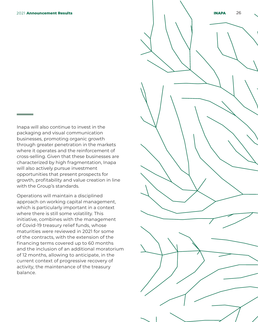Inapa will also continue to invest in the packaging and visual communication businesses, promoting organic growth through greater penetration in the markets where it operates and the reinforcement of cross-selling. Given that these businesses are characterized by high fragmentation, Inapa will also actively pursue investment opportunities that present prospects for growth, profitability and value creation in line with the Group's standards.

Operations will maintain a disciplined approach on working capital management, which is particularly important in a context where there is still some volatility. This initiative, combines with the management of Covid-19 treasury relief funds, whose maturities were reviewed in 2021 for some of the contracts, with the extension of the financing terms covered up to 60 months and the inclusion of an additional moratorium of 12 months, allowing to anticipate, in the current context of progressive recovery of activity, the maintenance of the treasury balance.

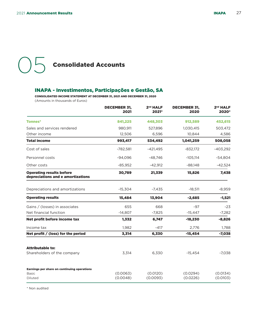# **OF** Consolidated Accounts

#### INAPA - Investimentos, Participações e Gestão, SA

CONSOLIDATED INCOME STATEMENT AT DECEMBER 31, 2021 AND DECEMBER 31, 2020 (Amounts in thousands of Euros)

|                                                                        | <b>DECEMBER 31,</b><br>2021 | 2 <sup>nd</sup> HALF<br>2021* | <b>DECEMBER 31,</b><br>2020 | 2 <sup>nd</sup> HALF<br>2020* |
|------------------------------------------------------------------------|-----------------------------|-------------------------------|-----------------------------|-------------------------------|
| <b>Tonnes*</b>                                                         | 841.225                     | 448.303                       | 912,589                     | 452,615                       |
| Sales and services rendered                                            | 980,911                     | 527,896                       | 1,030,415                   | 503,472                       |
| Other income                                                           | 12,506                      | 6,596                         | 10,844                      | 4,586                         |
| <b>Total income</b>                                                    | 993,417                     | 534,492                       | 1,041,259                   | 508,058                       |
| Cost of sales                                                          | $-782,581$                  | $-421,495$                    | $-832,172$                  | $-403,292$                    |
| Personnel costs                                                        | $-94.096$                   | $-48.746$                     | $-105.114$                  | $-54,804$                     |
| Other costs                                                            | $-85,952$                   | $-42,912$                     | $-88,148$                   | $-42,524$                     |
| <b>Operating results before</b><br>depreciations and e amortizations   | 30,789                      | 21,339                        | 15,826                      | 7,438                         |
| Depreciations and amortizations                                        | $-15,304$                   | $-7,435$                      | $-18,511$                   | $-8,959$                      |
| <b>Operating results</b>                                               | 15,484                      | 13,904                        | $-2,685$                    | $-1,521$                      |
| Gains / (losses) in associates                                         | 655                         | 668                           | $-97$                       | $-23$                         |
| Net financial function                                                 | $-14,807$                   | $-7,825$                      | $-15,447$                   | $-7,282$                      |
| Net profit before income tax                                           | 1,332                       | 6,747                         | $-18,230$                   | $-8,826$                      |
| Income tax                                                             | 1,982                       | $-417$                        | 2,776                       | 1,788                         |
| Net profit / (loss) for the period                                     | 3,314                       | 6,330                         | $-15,454$                   | $-7,038$                      |
| <b>Attributable to:</b><br>Shareholders of the company                 | 3,314                       | 6,330                         | $-15,454$                   | $-7,038$                      |
| Earnings per share on continuing operations<br><b>Basic</b><br>Diluted | (0.0063)<br>(0.0048)        | (0.0120)<br>(0.0093)          | (0.0294)<br>(0.0226)        | (0.0134)<br>(0.0103)          |

\* Non audited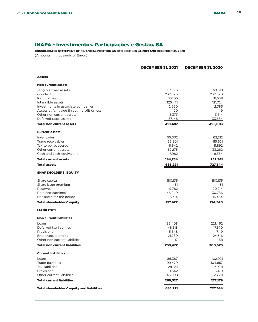#### INAPA - Investimentos, Participações e Gestão, SA

CONSOLIDATED STATEMENT OF FINANCIAL POSITION AS OF DECEMBER 31, 2021 AND DECEMBER 31, 2020 (Amounts in thousands of Euros)

|                                             | <b>DECEMBER 31, 2021</b> | <b>DECEMBER 31, 2020</b> |
|---------------------------------------------|--------------------------|--------------------------|
| <b>Assets</b>                               |                          |                          |
| <b>Non current assets</b>                   |                          |                          |
| Tangible fixed assets                       | 57,390                   | 69,518                   |
| Goodwill                                    | 232,620                  | 232,620                  |
| Right of use                                | 33,105                   | 31,538                   |
| Intangible assets                           | 125,471                  | 121,724                  |
| Investments in associate companies          | 2,260                    | 2,385                    |
| Assets at fair value through profit or loss | 120                      | 119                      |
| Other non current assets                    | 3,373                    | 3,514                    |
| Deferred taxes assets                       | 37,148                   | 33,584                   |
| <b>Total non current assets</b>             | 491,487                  | 495,003                  |
| <b>Current assets</b>                       |                          |                          |
| Inventories                                 | 55,032                   | 62,212                   |
| Trade receivables                           | 65,801                   | 115,621                  |
| Tax to be recovered                         | 6,642                    | 11,892                   |
| Other current assets                        | 59,275                   | 33,262                   |
| Cash and cash-equivalents                   | 7,982                    | 9,354                    |
| <b>Total current assets</b>                 | 194,734                  | 232,341                  |
| <b>Total assets</b>                         | 686,221                  | 727,344                  |
| <b>SHAREHOLDERS' EQUITY</b>                 |                          |                          |
| Share capital                               | 180,135                  | 180,135                  |
| Share issue premium                         | 431                      | 431                      |
| Reserves                                    | 19,782                   | 20,214                   |
| Retained earnings                           | $-46,240$                | $-30,786$                |
| Net profit for the period                   | 3,314                    | -15,454                  |
| <b>Total shareholders' equity</b>           | 157,422                  | 154,540                  |
| <b>LIABILITIES</b>                          |                          |                          |
| <b>Non current liabilities</b>              |                          |                          |
| Loans                                       | 183,408                  | 221,462                  |
| Deferred tax liabilties                     | 48,618                   | 47,670                   |
| Provisions                                  | 5,648                    | 7,119                    |
| <b>Employees benefits</b>                   | 21,780                   | 24,316                   |
| Other non current liabilities               | 17                       | 58                       |
| <b>Total non current liabilities</b>        | 259,472                  | 300,625                  |
| <b>Current liabilities</b>                  |                          |                          |
| Loans                                       | 86,387                   | 102,921                  |
| Trade payables                              | 109,470                  | 104,857                  |
| <b>Tax liabilities</b>                      | 28,831                   | 31,011                   |
| Provisions                                  | 1,542                    | 7,179                    |
| Other current liabilities                   | 43,098                   | 26,211                   |
| <b>Total current liabilities</b>            | 269,327                  | 272,179                  |
| Total shareholders' equity and liabilities  | 686,221                  | 727,344                  |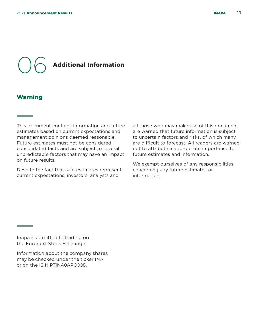## 06 Additional Information

#### **Warning**

**Contract Contract** 

This document contains information and future estimates based on current expectations and management opinions deemed reasonable. Future estimates must not be considered consolidated facts and are subject to several unpredictable factors that may have an impact on future results.

Despite the fact that said estimates represent current expectations, investors, analysts and

all those who may make use of this document are warned that future information is subject to uncertain factors and risks, of which many are difficult to forecast. All readers are warned not to attribute inappropriate importance to future estimates and information.

We exempt ourselves of any responsibilities concerning any future estimates or information.

Inapa is admitted to trading on the Euronext Stock Exchange.

Information about the company shares may be checked under the ticker INA or on the ISIN PTINA0AP0008.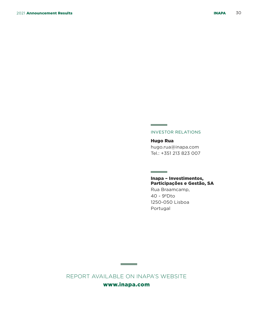#### INVESTOR RELATIONS

**Contract Contract** 

**Contract Contract** 

Hugo Rua hugo.rua@inapa.com Tel.: +351 213 823 007

#### Inapa – Investimentos, Participações e Gestão, SA

Rua Braamcamp, 40 - 9ºDto 1250-050 Lisboa Portugal

REPORT AVAILABLE ON INAPA'S WEBSITE

**Contract Contract** 

www.inapa.com